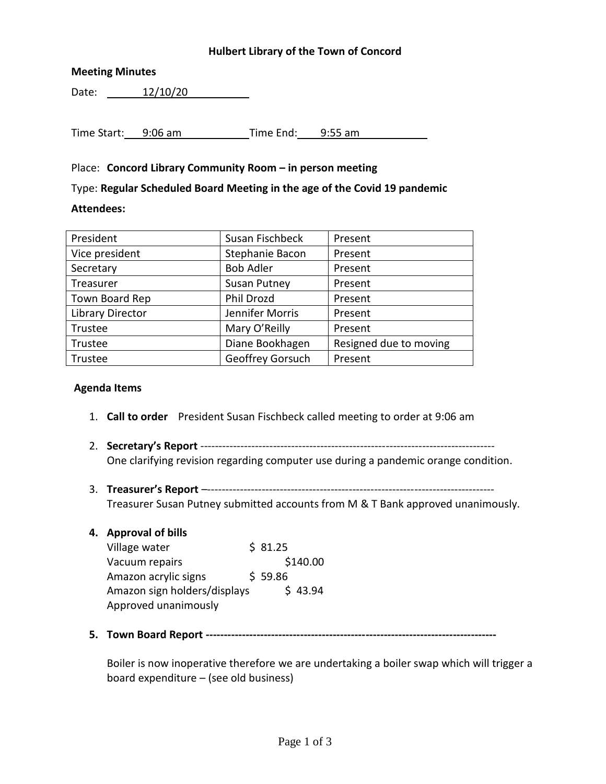### **Hulbert Library of the Town of Concord**

### **Meeting Minutes**

Date: 12/10/20

Time Start: 9:06 am Time End: 9:55 am

## Place: **Concord Library Community Room – in person meeting**

Type: **Regular Scheduled Board Meeting in the age of the Covid 19 pandemic**

### **Attendees:**

| President               | Susan Fischbeck     | Present                |  |
|-------------------------|---------------------|------------------------|--|
| Vice president          | Stephanie Bacon     | Present                |  |
| Secretary               | <b>Bob Adler</b>    | Present                |  |
| Treasurer               | <b>Susan Putney</b> | Present                |  |
| Town Board Rep          | Phil Drozd          | Present                |  |
| <b>Library Director</b> | Jennifer Morris     | Present                |  |
| Trustee                 | Mary O'Reilly       | Present                |  |
| Trustee                 | Diane Bookhagen     | Resigned due to moving |  |
| Trustee                 | Geoffrey Gorsuch    | Present                |  |

### **Agenda Items**

- 1. **Call to order** President Susan Fischbeck called meeting to order at 9:06 am
- 2. **Secretary's Report** --------------------------------------------------------------------------------- One clarifying revision regarding computer use during a pandemic orange condition.
- 3. **Treasurer's Report** –------------------------------------------------------------------------------- Treasurer Susan Putney submitted accounts from M & T Bank approved unanimously.

### **4. Approval of bills**

| Village water                |  | \$31.25 |          |
|------------------------------|--|---------|----------|
| Vacuum repairs               |  |         | \$140.00 |
| Amazon acrylic signs         |  | \$59.86 |          |
| Amazon sign holders/displays |  |         | \$43.94  |
| Approved unanimously         |  |         |          |

**5. Town Board Report --------------------------------------------------------------------------------**

Boiler is now inoperative therefore we are undertaking a boiler swap which will trigger a board expenditure – (see old business)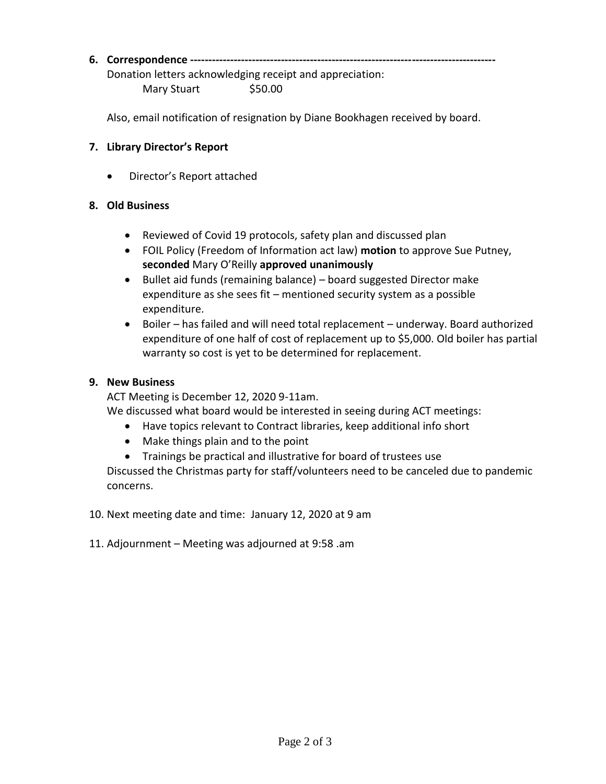# **6. Correspondence ------------------------------------------------------------------------------------**

Donation letters acknowledging receipt and appreciation:

Mary Stuart \$50.00

Also, email notification of resignation by Diane Bookhagen received by board.

# **7. Library Director's Report**

Director's Report attached

## **8. Old Business**

- Reviewed of Covid 19 protocols, safety plan and discussed plan
- FOIL Policy (Freedom of Information act law) **motion** to approve Sue Putney, **seconded** Mary O'Reilly **approved unanimously**
- Bullet aid funds (remaining balance) board suggested Director make expenditure as she sees fit – mentioned security system as a possible expenditure.
- Boiler has failed and will need total replacement underway. Board authorized expenditure of one half of cost of replacement up to \$5,000. Old boiler has partial warranty so cost is yet to be determined for replacement.

## **9. New Business**

ACT Meeting is December 12, 2020 9-11am.

We discussed what board would be interested in seeing during ACT meetings:

- Have topics relevant to Contract libraries, keep additional info short
- Make things plain and to the point
- Trainings be practical and illustrative for board of trustees use

Discussed the Christmas party for staff/volunteers need to be canceled due to pandemic concerns.

10. Next meeting date and time: January 12, 2020 at 9 am

11. Adjournment – Meeting was adjourned at 9:58 .am